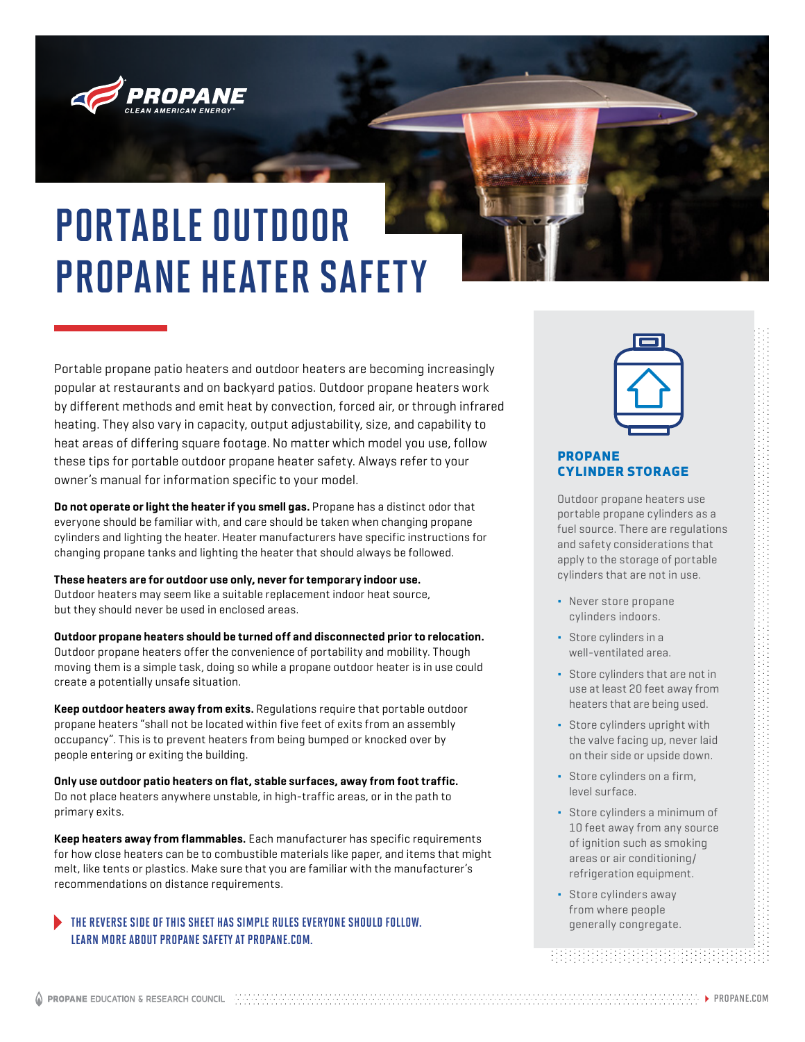

## PORTABLE OUTDOOR PROPANE HEATER SAFETY

Portable propane patio heaters and outdoor heaters are becoming increasingly popular at restaurants and on backyard patios. Outdoor propane heaters work by different methods and emit heat by convection, forced air, or through infrared heating. They also vary in capacity, output adjustability, size, and capability to heat areas of differing square footage. No matter which model you use, follow these tips for portable outdoor propane heater safety. Always refer to your owner's manual for information specific to your model.

**Do not operate or light the heater if you smell gas.** Propane has a distinct odor that everyone should be familiar with, and care should be taken when changing propane cylinders and lighting the heater. Heater manufacturers have specific instructions for changing propane tanks and lighting the heater that should always be followed.

#### **These heaters are for outdoor use only, never for temporary indoor use.**

Outdoor heaters may seem like a suitable replacement indoor heat source, but they should never be used in enclosed areas.

**Outdoor propane heaters should be turned off and disconnected prior to relocation.** Outdoor propane heaters offer the convenience of portability and mobility. Though moving them is a simple task, doing so while a propane outdoor heater is in use could create a potentially unsafe situation.

**Keep outdoor heaters away from exits.** Regulations require that portable outdoor propane heaters "shall not be located within five feet of exits from an assembly occupancy". This is to prevent heaters from being bumped or knocked over by people entering or exiting the building.

**Only use outdoor patio heaters on flat, stable surfaces, away from foot traffic.**  Do not place heaters anywhere unstable, in high-traffic areas, or in the path to primary exits.

**Keep heaters away from flammables.** Each manufacturer has specific requirements for how close heaters can be to combustible materials like paper, and items that might melt, like tents or plastics. Make sure that you are familiar with the manufacturer's recommendations on distance requirements.

### THE REVERSE SIDE OF THIS SHEET HAS SIMPLE RULES EVERYONE SHOULD FOLLOW. The manufacturer of the system of generally congregate. LEARN MORE ABOUT PROPANE SAFETY AT PROPANE.COM.



#### PROPANE CYLINDER STORAGE

Outdoor propane heaters use portable propane cylinders as a fuel source. There are regulations and safety considerations that apply to the storage of portable cylinders that are not in use.

- Never store propane cylinders indoors.
- Store cylinders in a well-ventilated area.
- Store cylinders that are not in use at least 20 feet away from heaters that are being used.
- Store cylinders upright with the valve facing up, never laid on their side or upside down.
- Store cylinders on a firm, level surface.
- Store cylinders a minimum of 10 feet away from any source of ignition such as smoking areas or air conditioning/ refrigeration equipment.
- Store cylinders away from where people

<u> BEBELBERHERHERHER</u>